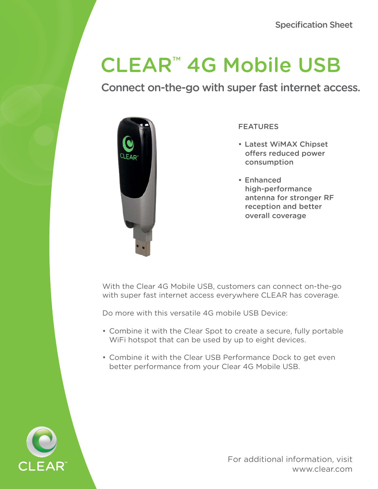# CLEAR™ 4G Mobile USB

Connect on-the-go with super fast internet access.



FEATURES

- Latest WiMAX Chipset offers reduced power consumption
- Enhanced high-performance antenna for stronger RF reception and better overall coverage

With the Clear 4G Mobile USB, customers can connect on-the-go with super fast internet access everywhere CLEAR has coverage.

Do more with this versatile 4G mobile USB Device:

- Combine it with the Clear Spot to create a secure, fully portable WiFi hotspot that can be used by up to eight devices.
- Combine it with the Clear USB Performance Dock to get even better performance from your Clear 4G Mobile USB.



For additional information, visit www.clear.com